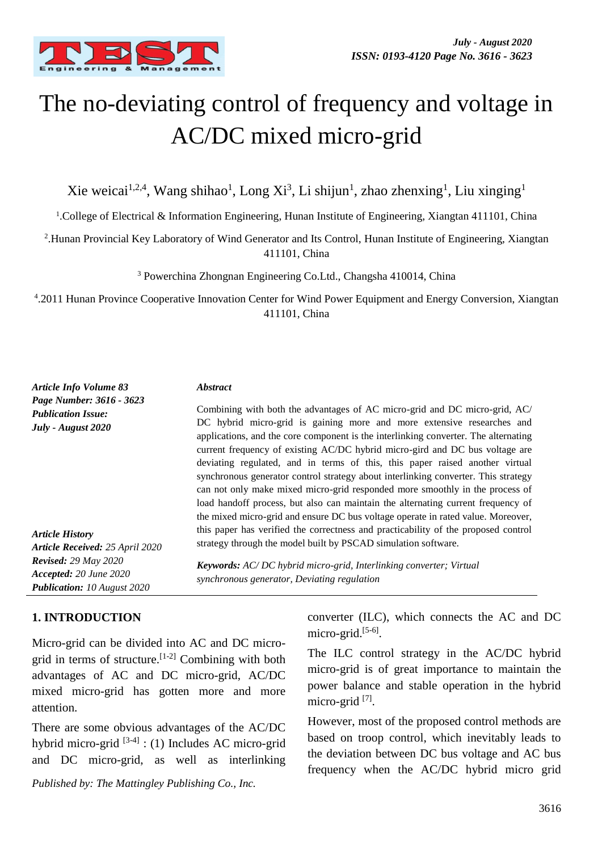

# The no-deviating control of frequency and voltage in AC/DC mixed micro-grid

Xie weicai<sup>1,2,4</sup>, Wang shihao<sup>1</sup>, Long Xi<sup>3</sup>, Li shijun<sup>1</sup>, zhao zhenxing<sup>1</sup>, Liu xinging<sup>1</sup>

<sup>1</sup>.College of Electrical & Information Engineering, Hunan Institute of Engineering, Xiangtan 411101, China

2 .Hunan Provincial Key Laboratory of Wind Generator and Its Control, Hunan Institute of Engineering, Xiangtan 411101, China

<sup>3</sup> Powerchina Zhongnan Engineering Co.Ltd., Changsha 410014, China

4 .2011 Hunan Province Cooperative Innovation Center for Wind Power Equipment and Energy Conversion, Xiangtan 411101, China

| Article Info Volume 83                                                                      | <i><b>Abstract</b></i>                                                                                                                                                                                                                                                                                                                                                                                                     |
|---------------------------------------------------------------------------------------------|----------------------------------------------------------------------------------------------------------------------------------------------------------------------------------------------------------------------------------------------------------------------------------------------------------------------------------------------------------------------------------------------------------------------------|
| Page Number: 3616 - 3623<br><b>Publication Issue:</b><br>July - August 2020                 | Combining with both the advantages of AC micro-grid and DC micro-grid, AC/<br>DC hybrid micro-grid is gaining more and more extensive researches and<br>applications, and the core component is the interlinking converter. The alternating<br>current frequency of existing AC/DC hybrid micro-gird and DC bus voltage are                                                                                                |
|                                                                                             | deviating regulated, and in terms of this, this paper raised another virtual<br>synchronous generator control strategy about interlinking converter. This strategy<br>can not only make mixed micro-grid responded more smoothly in the process of<br>load handoff process, but also can maintain the alternating current frequency of<br>the mixed micro-grid and ensure DC bus voltage operate in rated value. Moreover, |
| <b>Article History</b><br>Article Received: 25 April 2020                                   | this paper has verified the correctness and practicability of the proposed control<br>strategy through the model built by PSCAD simulation software.                                                                                                                                                                                                                                                                       |
| <b>Revised:</b> 29 May 2020<br>Accepted: 20 June 2020<br><b>Publication:</b> 10 August 2020 | <b>Keywords:</b> AC/DC hybrid micro-grid, Interlinking converter; Virtual<br>synchronous generator, Deviating regulation                                                                                                                                                                                                                                                                                                   |

## **1. INTRODUCTION**

Micro-grid can be divided into AC and DC microgrid in terms of structure.[1-2] Combining with both advantages of AC and DC micro-grid, AC/DC mixed micro-grid has gotten more and more attention.

There are some obvious advantages of the AC/DC hybrid micro-grid<sup>[3-4]</sup>: (1) Includes AC micro-grid and DC micro-grid, as well as interlinking

*Published by: The Mattingley Publishing Co., Inc.*

converter (ILC), which connects the AC and DC micro-grid.<sup>[5-6]</sup>.

The ILC control strategy in the AC/DC hybrid micro-grid is of great importance to maintain the power balance and stable operation in the hybrid micro-grid<sup>[7]</sup>.

However, most of the proposed control methods are based on troop control, which inevitably leads to the deviation between DC bus voltage and AC bus frequency when the AC/DC hybrid micro grid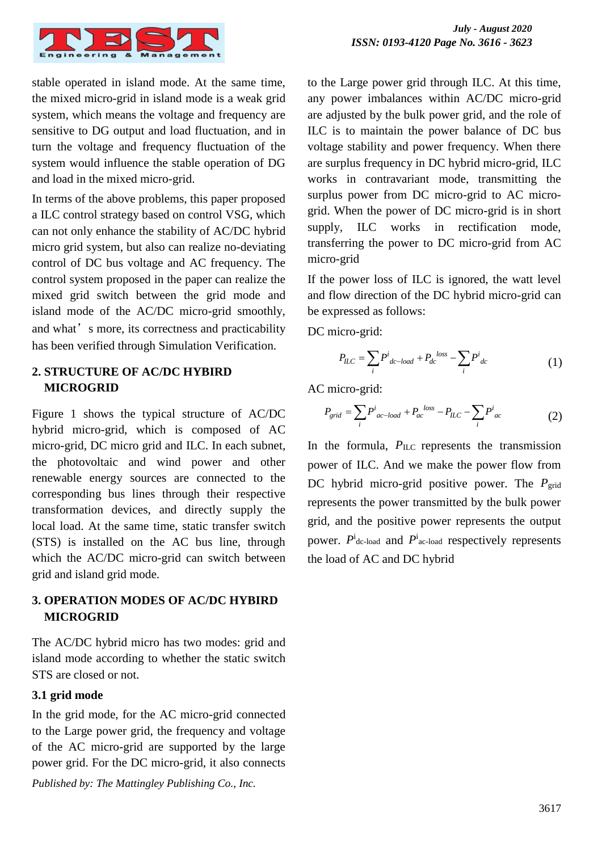

stable operated in island mode. At the same time, the mixed micro-grid in island mode is a weak grid system, which means the voltage and frequency are sensitive to DG output and load fluctuation, and in turn the voltage and frequency fluctuation of the system would influence the stable operation of DG and load in the mixed micro-grid.

In terms of the above problems, this paper proposed a ILC control strategy based on control VSG, which can not only enhance the stability of AC/DC hybrid micro grid system, but also can realize no-deviating control of DC bus voltage and AC frequency. The control system proposed in the paper can realize the mixed grid switch between the grid mode and island mode of the AC/DC micro-grid smoothly, and what's more, its correctness and practicability has been verified through Simulation Verification.

## **2. STRUCTURE OF AC/DC HYBIRD MICROGRID**

Figure 1 shows the typical structure of AC/DC hybrid micro-grid, which is composed of AC micro-grid, DC micro grid and ILC. In each subnet, the photovoltaic and wind power and other renewable energy sources are connected to the corresponding bus lines through their respective transformation devices, and directly supply the local load. At the same time, static transfer switch (STS) is installed on the AC bus line, through which the AC/DC micro-grid can switch between grid and island grid mode.

## **3. OPERATION MODES OF AC/DC HYBIRD MICROGRID**

The AC/DC hybrid micro has two modes: grid and island mode according to whether the static switch STS are closed or not.

### **3.1 grid mode**

In the grid mode, for the AC micro-grid connected to the Large power grid, the frequency and voltage of the AC micro-grid are supported by the large power grid. For the DC micro-grid, it also connects

*Published by: The Mattingley Publishing Co., Inc.*

to the Large power grid through ILC. At this time, any power imbalances within AC/DC micro-grid are adjusted by the bulk power grid, and the role of ILC is to maintain the power balance of DC bus voltage stability and power frequency. When there are surplus frequency in DC hybrid micro-grid, ILC works in contravariant mode, transmitting the surplus power from DC micro-grid to AC microgrid. When the power of DC micro-grid is in short supply, ILC works in rectification mode, transferring the power to DC micro-grid from AC micro-grid

If the power loss of ILC is ignored, the watt level and flow direction of the DC hybrid micro-grid can be expressed as follows:

DC micro-grid:

$$
P_{ILC} = \sum_{i} P^{i}_{dc - load} + P_{dc}^{loss} - \sum_{i} P^{i}_{dc}
$$
 (1)

AC micro-grid:

$$
P_{grid} = \sum_{i} P^{i}_{ac-load} + P_{ac}^{loss} - P_{ILC} - \sum_{i} P^{i}_{ac} \tag{2}
$$

In the formula,  $P_{\text{ILC}}$  represents the transmission power of ILC. And we make the power flow from DC hybrid micro-grid positive power. The *P*<sub>grid</sub> represents the power transmitted by the bulk power grid, and the positive power represents the output power.  $P^i$ <sub>dc-load</sub> and  $P^i$ <sub>ac-load</sub> respectively represents the load of AC and DC hybrid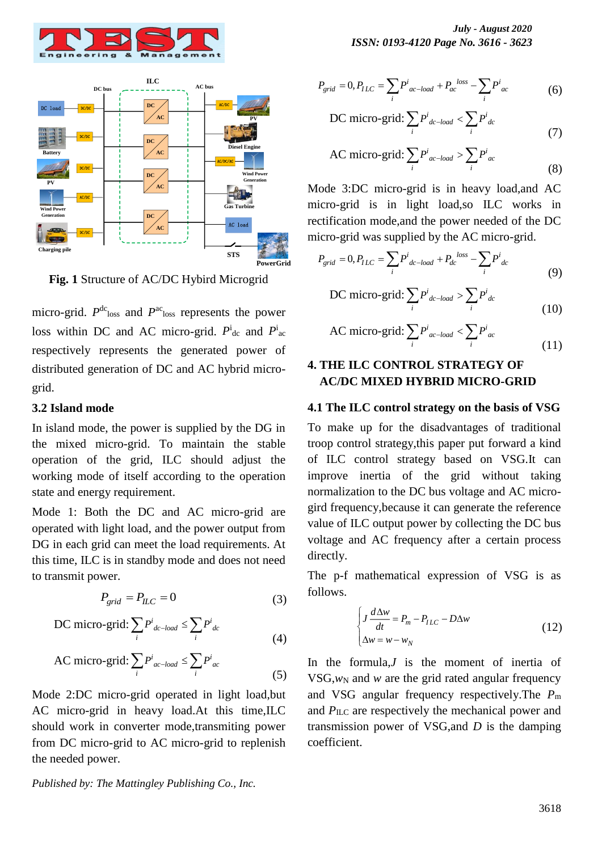



**Fig. 1** Structure of AC/DC Hybird Microgrid

micro-grid.  $P^{\text{dc}}_{\text{loss}}$  and  $P^{\text{ac}}_{\text{loss}}$  represents the power loss within DC and AC micro-grid.  $P^i{}_{dc}$  and  $P^i{}_{ac}$ respectively represents the generated power of distributed generation of DC and AC hybrid microgrid.

#### **3.2 Island mode**

In island mode, the power is supplied by the DG in the mixed micro-grid. To maintain the stable operation of the grid, ILC should adjust the working mode of itself according to the operation state and energy requirement.

Mode 1: Both the DC and AC micro-grid are operated with light load, and the power output from DG in each grid can meet the load requirements. At this time, ILC is in standby mode and does not need to transmit power.

$$
P_{grid} = P_{ILC} = 0 \tag{3}
$$

DC micro-grid: 
$$
\sum_{i} P^{i}{}_{dc-load} \leq \sum_{i} P^{i}{}_{dc}
$$
 (4)

AC micro-grid: 
$$
\sum_{i} P^{i}_{ac-local} \le \sum_{i} P^{i}_{ac}
$$
 (5)

Mode 2:DC micro-grid operated in light load,but AC micro-grid in heavy load.At this time,ILC should work in converter mode,transmiting power from DC micro-grid to AC micro-grid to replenish the needed power.

*July - August 2020 ISSN: 0193-4120 Page No. 3616 - 3623*

$$
P_{grid} = 0, P_{ILC} = \sum_{i} P^{i}_{ac - load} + P_{ac}^{loss} - \sum_{i} P^{i}_{ac}
$$
(6)

DC micro-grid: 
$$
\sum_{i} P^{i}{}_{dc-load} < \sum_{i} P^{i}{}_{dc} \tag{7}
$$

AC micro-grid: 
$$
\sum_{i} P^{i}_{ac-local} > \sum_{i} P^{i}_{ac}
$$
 (8)

Mode 3:DC micro-grid is in heavy load,and AC micro-grid is in light load,so ILC works in rectification mode,and the power needed of the DC micro-grid was supplied by the AC micro-grid.

$$
P_{grid} = 0, P_{ILC} = \sum_{i} P^{i}_{dc - load} + P_{dc}^{loss} - \sum_{i} P^{i}_{dc}
$$
\n(9)

DC micro-grid: 
$$
\sum_{i} P^{i}_{dc - load} > \sum_{i} P^{i}_{dc}
$$
 (10)

AC micro-grid: 
$$
\sum_{i} P^{i}_{ac-local} < \sum_{i} P^{i}_{ac}
$$
 (11)

### **4. THE ILC CONTROL STRATEGY OF AC/DC MIXED HYBRID MICRO-GRID**

#### **4.1 The ILC control strategy on the basis of VSG**

To make up for the disadvantages of traditional troop control strategy,this paper put forward a kind of ILC control strategy based on VSG.It can improve inertia of the grid without taking normalization to the DC bus voltage and AC microgird frequency,because it can generate the reference value of ILC output power by collecting the DC bus voltage and AC frequency after a certain process directly.

The p-f mathematical expression of VSG is as follows.

$$
\begin{cases}\nJ \frac{d\Delta w}{dt} = P_m - P_{ILC} - D\Delta w \\
\Delta w = w - w_N\n\end{cases}
$$
\n(12)

In the formula,*J* is the moment of inertia of VSG, $w_N$  and  $w$  are the grid rated angular frequency and VSG angular frequency respectively.The *P*<sup>m</sup> and *P*ILC are respectively the mechanical power and transmission power of VSG,and *D* is the damping coefficient.

*Published by: The Mattingley Publishing Co., Inc.*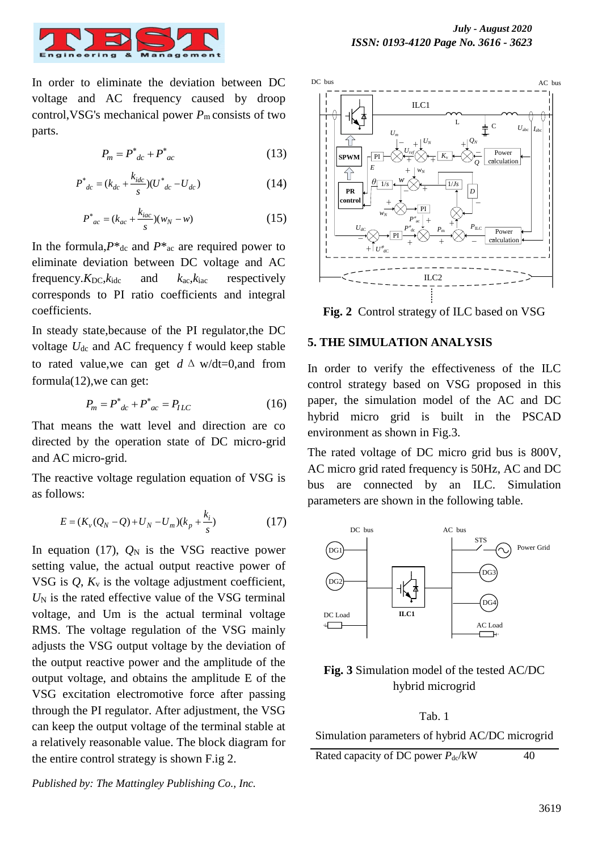

In order to eliminate the deviation between DC voltage and AC frequency caused by droop control,VSG's mechanical power *P*m consists of two parts.

$$
P_m = P^*_{dc} + P^*_{ac} \tag{13}
$$

$$
P^*_{dc} = (k_{dc} + \frac{k_{idc}}{s})(U^*_{dc} - U_{dc})
$$
 (14)

$$
P_{ac}^{*} = (k_{ac} + \frac{k_{iac}}{s})(w_N - w)
$$
 (15)

In the formula, $P^*$ <sub>dc</sub> and  $P^*$ <sub>ac</sub> are required power to eliminate deviation between DC voltage and AC frequency. $K_{DC}$ , $k_{\text{ide}}$  and  $k_{\text{ac}}$ , $k_{\text{iac}}$  respectively corresponds to PI ratio coefficients and integral coefficients.

In steady state,because of the PI regulator,the DC voltage  $U_{dc}$  and AC frequency f would keep stable to rated value, we can get  $d \Delta w/dt = 0$ , and from formula(12),we can get:

$$
P_m = P^*_{dc} + P^*_{ac} = P_{ILC} \tag{16}
$$

That means the watt level and direction are co directed by the operation state of DC micro-grid and AC micro-grid.

The reactive voltage regulation equation of VSG is as follows:

$$
E = (K_v(Q_N - Q) + U_N - U_m)(k_p + \frac{k_i}{s})
$$
\n(17)

In equation (17),  $Q_N$  is the VSG reactive power setting value, the actual output reactive power of VSG is  $Q$ ,  $K_v$  is the voltage adjustment coefficient,  $U_N$  is the rated effective value of the VSG terminal voltage, and Um is the actual terminal voltage RMS. The voltage regulation of the VSG mainly adjusts the VSG output voltage by the deviation of the output reactive power and the amplitude of the output voltage, and obtains the amplitude E of the VSG excitation electromotive force after passing through the PI regulator. After adjustment, the VSG can keep the output voltage of the terminal stable at a relatively reasonable value. The block diagram for the entire control strategy is shown F.ig 2.



**Fig. 2** Control strategy of ILC based on VSG

#### **5. THE SIMULATION ANALYSIS**

In order to verify the effectiveness of the ILC control strategy based on VSG proposed in this paper, the simulation model of the AC and DC hybrid micro grid is built in the PSCAD environment as shown in Fig.3.

The rated voltage of DC micro grid bus is 800V, AC micro grid rated frequency is 50Hz, AC and DC bus are connected by an ILC. Simulation parameters are shown in the following table.



## **Fig. 3** Simulation model of the tested AC/DC hybrid microgrid

Tab. 1 Simulation parameters of hybrid AC/DC microgrid Rated capacity of DC power  $P_{\text{dc}}/kW$  40

*Published by: The Mattingley Publishing Co., Inc.*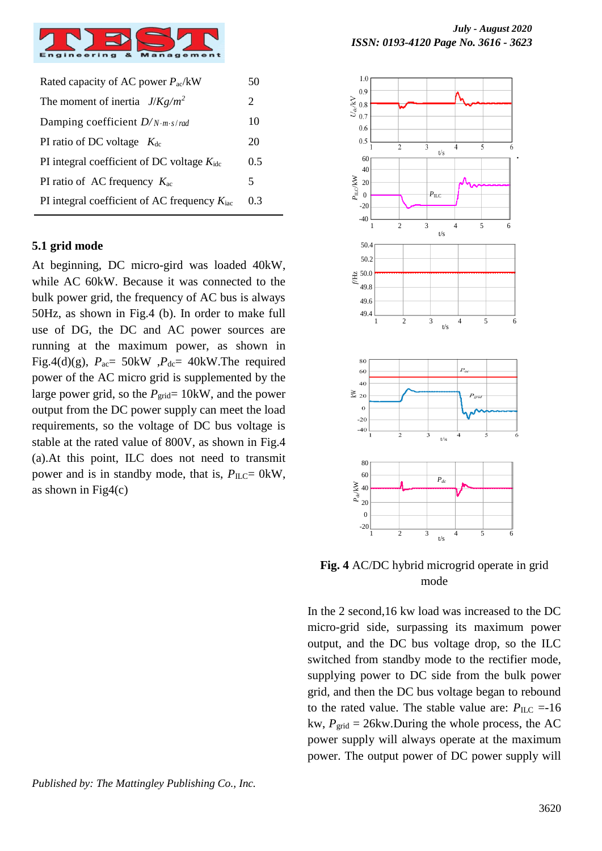

| Rated capacity of AC power $P_{ac}/kW$                   |     |
|----------------------------------------------------------|-----|
| The moment of inertia $J/Kg/m^2$                         | 2   |
| Damping coefficient $D/N \cdot m \cdot s/rad$            | 10  |
| PI ratio of DC voltage $K_{dc}$                          | 20  |
| PI integral coefficient of DC voltage $K_{\text{ide}}$   | 0.5 |
| PI ratio of AC frequency $K_{ac}$                        | 5   |
| PI integral coefficient of AC frequency $K_{\text{iac}}$ | 03  |
|                                                          |     |

#### **5.1 grid mode**

At beginning, DC micro-gird was loaded 40kW, while AC 60kW. Because it was connected to the bulk power grid, the frequency of AC bus is always 50Hz, as shown in Fig.4 (b). In order to make full use of DG, the DC and AC power sources are running at the maximum power, as shown in Fig.4(d)(g),  $P_{ac} = 50$ kW,  $P_{dc} = 40$ kW.The required power of the AC micro grid is supplemented by the large power grid, so the  $P_{grid}= 10$ kW, and the power output from the DC power supply can meet the load requirements, so the voltage of DC bus voltage is stable at the rated value of 800V, as shown in Fig.4 (a).At this point, ILC does not need to transmit power and is in standby mode, that is,  $P_{ILC} = 0$ kW, as shown in  $Fig4(c)$ 

*Published by: The Mattingley Publishing Co., Inc.*



**Fig. 4** AC/DC hybrid microgrid operate in grid mode

In the 2 second,16 kw load was increased to the DC micro-grid side, surpassing its maximum power output, and the DC bus voltage drop, so the ILC switched from standby mode to the rectifier mode, supplying power to DC side from the bulk power grid, and then the DC bus voltage began to rebound to the rated value. The stable value are:  $P_{\text{ILC}} = -16$ kw,  $P_{grid} = 26$ kw.During the whole process, the AC power supply will always operate at the maximum power. The output power of DC power supply will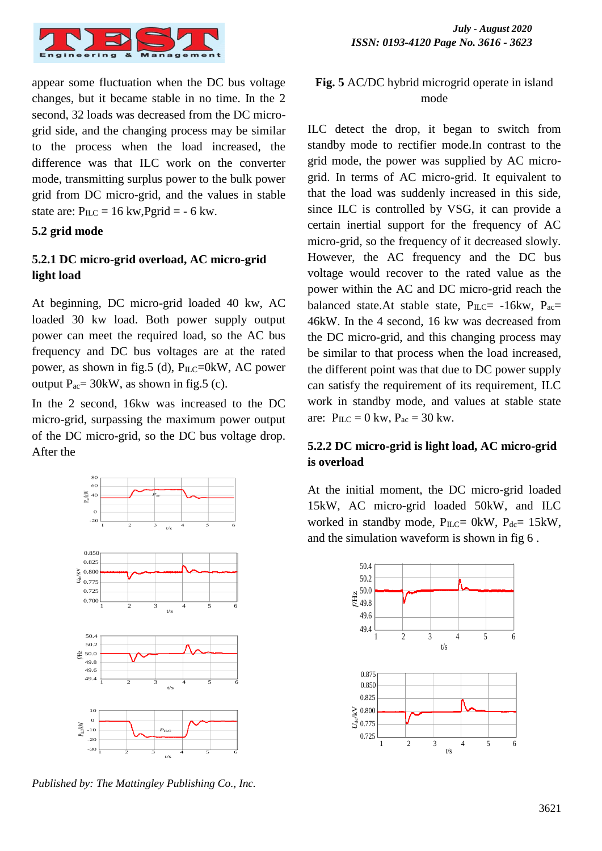

appear some fluctuation when the DC bus voltage changes, but it became stable in no time. In the 2 second, 32 loads was decreased from the DC microgrid side, and the changing process may be similar to the process when the load increased, the difference was that ILC work on the converter mode, transmitting surplus power to the bulk power grid from DC micro-grid, and the values in stable state are:  $P_{ILC} = 16 \text{ kW}$ ,  $Pgrid = -6 \text{ kw}$ .

### **5.2 grid mode**

## **5.2.1 DC micro-grid overload, AC micro-grid light load**

At beginning, DC micro-grid loaded 40 kw, AC loaded 30 kw load. Both power supply output power can meet the required load, so the AC bus frequency and DC bus voltages are at the rated power, as shown in fig.5 (d),  $P_{ILC}=0kW$ , AC power output  $P_{ac} = 30$ kW, as shown in fig.5 (c).

In the 2 second, 16kw was increased to the DC micro-grid, surpassing the maximum power output of the DC micro-grid, so the DC bus voltage drop. After the



*Published by: The Mattingley Publishing Co., Inc.*

## **Fig. 5** AC/DC hybrid microgrid operate in island mode

ILC detect the drop, it began to switch from standby mode to rectifier mode.In contrast to the grid mode, the power was supplied by AC microgrid. In terms of AC micro-grid. It equivalent to that the load was suddenly increased in this side, since ILC is controlled by VSG, it can provide a certain inertial support for the frequency of AC micro-grid, so the frequency of it decreased slowly. However, the AC frequency and the DC bus voltage would recover to the rated value as the power within the AC and DC micro-grid reach the balanced state.At stable state,  $P_{ILC}$  -16kw,  $P_{ac}$ = 46kW. In the 4 second, 16 kw was decreased from the DC micro-grid, and this changing process may be similar to that process when the load increased, the different point was that due to DC power supply can satisfy the requirement of its requirement, ILC work in standby mode, and values at stable state are:  $P_{ILC} = 0$  kw,  $P_{ac} = 30$  kw.

## **5.2.2 DC micro-grid is light load, AC micro-grid is overload**

At the initial moment, the DC micro-grid loaded 15kW, AC micro-grid loaded 50kW, and ILC worked in standby mode,  $P_{ILC} = 0kW$ ,  $P_{dc} = 15kW$ , and the simulation waveform is shown in fig 6 .

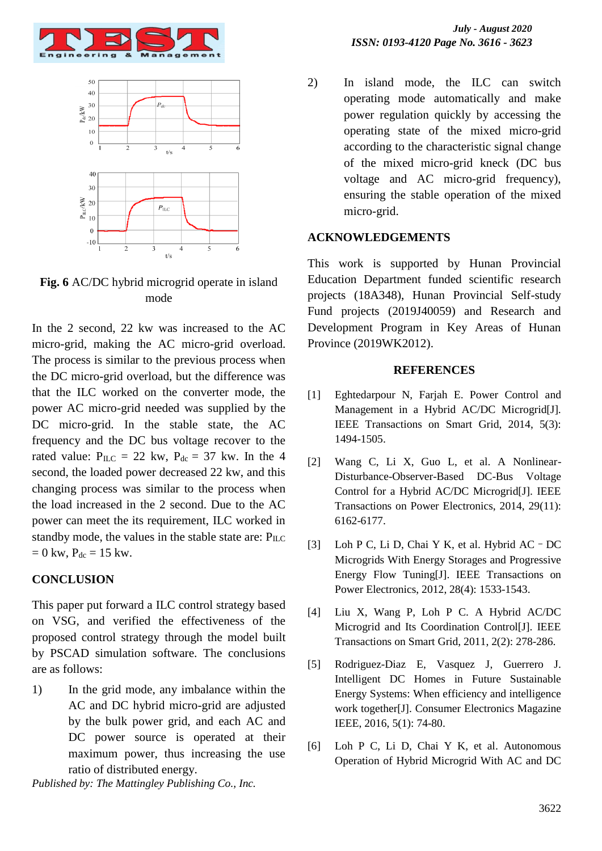



**Fig. 6** AC/DC hybrid microgrid operate in island mode

In the 2 second, 22 kw was increased to the AC micro-grid, making the AC micro-grid overload. The process is similar to the previous process when the DC micro-grid overload, but the difference was that the ILC worked on the converter mode, the power AC micro-grid needed was supplied by the DC micro-grid. In the stable state, the AC frequency and the DC bus voltage recover to the rated value:  $P_{ILC} = 22$  kw,  $P_{dc} = 37$  kw. In the 4 second, the loaded power decreased 22 kw, and this changing process was similar to the process when the load increased in the 2 second. Due to the AC power can meet the its requirement, ILC worked in standby mode, the values in the stable state are:  $P_{\text{ILC}}$  $= 0$  kw,  $P_{dc} = 15$  kw.

#### **CONCLUSION**

This paper put forward a ILC control strategy based on VSG, and verified the effectiveness of the proposed control strategy through the model built by PSCAD simulation software. The conclusions are as follows:

1) In the grid mode, any imbalance within the AC and DC hybrid micro-grid are adjusted by the bulk power grid, and each AC and DC power source is operated at their maximum power, thus increasing the use ratio of distributed energy.

*Published by: The Mattingley Publishing Co., Inc.*

2) In island mode, the ILC can switch operating mode automatically and make power regulation quickly by accessing the operating state of the mixed micro-grid according to the characteristic signal change of the mixed micro-grid kneck (DC bus voltage and AC micro-grid frequency), ensuring the stable operation of the mixed micro-grid.

#### **ACKNOWLEDGEMENTS**

This work is supported by Hunan Provincial Education Department funded scientific research projects (18A348), Hunan Provincial Self-study Fund projects (2019J40059) and Research and Development Program in Key Areas of Hunan Province (2019WK2012).

#### **REFERENCES**

- [1] Eghtedarpour N, Farjah E. Power Control and Management in a Hybrid AC/DC Microgrid[J]. IEEE Transactions on Smart Grid, 2014, 5(3): 1494-1505.
- [2] Wang C, Li X, Guo L, et al. A Nonlinear-Disturbance-Observer-Based DC-Bus Voltage Control for a Hybrid AC/DC Microgrid[J]. IEEE Transactions on Power Electronics, 2014, 29(11): 6162-6177.
- [3] Loh P C, Li D, Chai Y K, et al. Hybrid AC–DC Microgrids With Energy Storages and Progressive Energy Flow Tuning[J]. IEEE Transactions on Power Electronics, 2012, 28(4): 1533-1543.
- [4] Liu X, Wang P, Loh P C. A Hybrid AC/DC Microgrid and Its Coordination Control[J]. IEEE Transactions on Smart Grid, 2011, 2(2): 278-286.
- [5] Rodriguez-Diaz E, Vasquez J, Guerrero J. Intelligent DC Homes in Future Sustainable Energy Systems: When efficiency and intelligence work together[J]. Consumer Electronics Magazine IEEE, 2016, 5(1): 74-80.
- [6] Loh P C, Li D, Chai Y K, et al. Autonomous Operation of Hybrid Microgrid With AC and DC